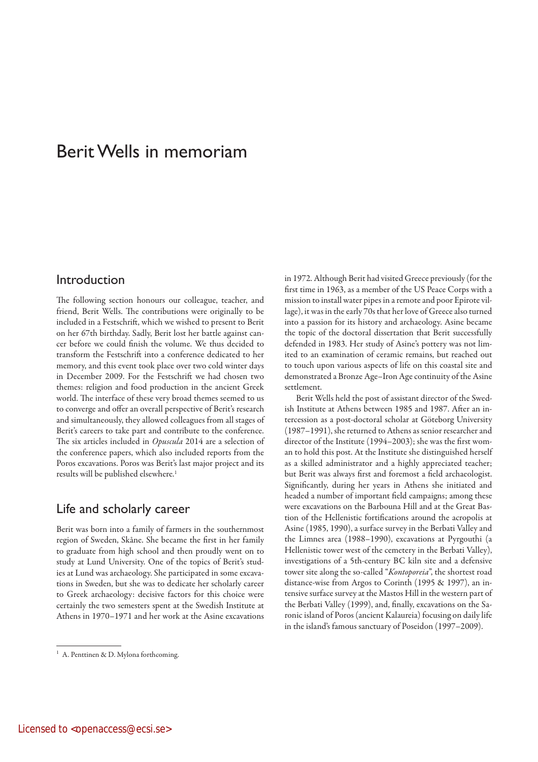# Berit Wells in memoriam

## Introduction

The following section honours our colleague, teacher, and friend, Berit Wells. The contributions were originally to be included in a Festschrift, which we wished to present to Berit on her 67th birthday. Sadly, Berit lost her battle against cancer before we could finish the volume. We thus decided to transform the Festschrift into a conference dedicated to her memory, and this event took place over two cold winter days in December 2009. For the Festschrift we had chosen two themes: religion and food production in the ancient Greek world. The interface of these very broad themes seemed to us to converge and offer an overall perspective of Berit's research and simultaneously, they allowed colleagues from all stages of Berit's careers to take part and contribute to the conference. The six articles included in *Opuscula* 2014 are a selection of the conference papers, which also included reports from the Poros excavations. Poros was Berit's last major project and its results will be published elsewhere.<sup>1</sup>

#### Life and scholarly career

Berit was born into a family of farmers in the southernmost region of Sweden, Skåne. She became the first in her family to graduate from high school and then proudly went on to study at Lund University. One of the topics of Berit's studies at Lund was archaeology. She participated in some excavations in Sweden, but she was to dedicate her scholarly career to Greek archaeology: decisive factors for this choice were certainly the two semesters spent at the Swedish Institute at Athens in 1970–1971 and her work at the Asine excavations in 1972. Although Berit had visited Greece previously (for the first time in 1963, as a member of the US Peace Corps with a mission to install water pipes in a remote and poor Epirote village), it was in the early 70s that her love of Greece also turned into a passion for its history and archaeology. Asine became the topic of the doctoral dissertation that Berit successfully defended in 1983. Her study of Asine's pottery was not limited to an examination of ceramic remains, but reached out to touch upon various aspects of life on this coastal site and demonstrated a Bronze Age–Iron Age continuity of the Asine settlement.

Berit Wells held the post of assistant director of the Swedish Institute at Athens between 1985 and 1987. After an intercession as a post-doctoral scholar at Göteborg University (1987–1991), she returned to Athens as senior researcher and director of the Institute (1994–2003); she was the first woman to hold this post. At the Institute she distinguished herself as a skilled administrator and a highly appreciated teacher; but Berit was always first and foremost a field archaeologist. Significantly, during her years in Athens she initiated and headed a number of important field campaigns; among these were excavations on the Barbouna Hill and at the Great Bastion of the Hellenistic fortifications around the acropolis at Asine (1985, 1990), a surface survey in the Berbati Valley and the Limnes area (1988–1990), excavations at Pyrgouthi (a Hellenistic tower west of the cemetery in the Berbati Valley), investigations of a 5th-century BC kiln site and a defensive tower site along the so-called "*Kontoporeia*", the shortest road distance-wise from Argos to Corinth (1995 & 1997), an intensive surface survey at the Mastos Hill in the western part of the Berbati Valley (1999), and, finally, excavations on the Saronic island of Poros (ancient Kalaureia) focusing on daily life in the island's famous sanctuary of Poseidon (1997–2009).

<sup>&</sup>lt;sup>1</sup> A. Penttinen & D. Mylona forthcoming.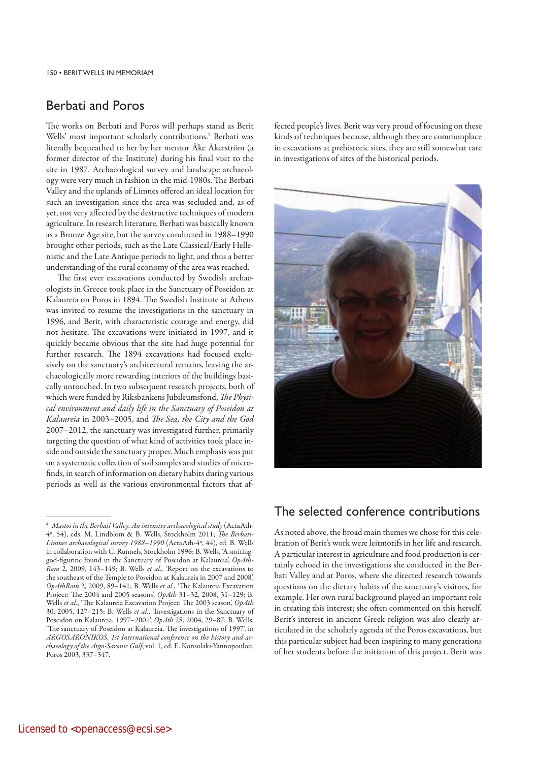## Berbati and Poros

The works on Berbati and Poros will perhaps stand as Berit Wells' most important scholarly contributions.<sup>2</sup> Berbati was literally bequeathed to her by her mentor Åke Åkerström (a former director of the Institute) during his final visit to the site in 1987. Archaeological survey and landscape archaeology were very much in fashion in the mid-1980s. The Berbati Valley and the uplands of Limnes offered an ideal location for such an investigation since the area was secluded and, as of yet, not very affected by the destructive techniques of modern agriculture. In research literature, Berbati was basically known as a Bronze Age site, but the survey conducted in 1988–1990 brought other periods, such as the Late Classical/Early Hellenistic and the Late Antique periods to light, and thus a better understanding of the rural economy of the area was reached.

The first ever excavations conducted by Swedish archaeologists in Greece took place in the Sanctuary of Poseidon at Kalaureia on Poros in 1894. The Swedish Institute at Athens was invited to resume the investigations in the sanctuary in 1996, and Berit, with characteristic courage and energy, did not hesitate. The excavations were initiated in 1997, and it quickly became obvious that the site had huge potential for further research. The 1894 excavations had focused exclusively on the sanctuary's architectural remains, leaving the archaeologically more rewarding interiors of the buildings basically untouched. In two subsequent research projects, both of which were funded by Riksbankens Jubileumsfond, *The Physical environment and daily life in the Sanctuary of Poseidon at Kalaureia* in 2003–2005, and *The Sea, the City and the God* 2007–2012, the sanctuary was investigated further, primarily targeting the question of what kind of activities took place inside and outside the sanctuary proper. Much emphasis was put on a systematic collection of soil samples and studies of microfinds, in search of information on dietary habits during various periods as well as the various environmental factors that affected people's lives. Berit was very proud of focusing on these kinds of techniques because, although they are commonplace in excavations at prehistoric sites, they are still somewhat rare in investigations of sites of the historical periods.



#### The selected conference contributions

As noted above, the broad main themes we chose for this celebration of Berit's work were leitmotifs in her life and research. A particular interest in agriculture and food production is certainly echoed in the investigations she conducted in the Berbati Valley and at Poros, where she directed research towards questions on the dietary habits of the sanctuary's visitors, for example. Her own rural background played an important role in creating this interest; she often commented on this herself. Berit's interest in ancient Greek religion was also clearly articulated in the scholarly agenda of the Poros excavations, but this particular subject had been inspiring to many generations of her students before the initiation of this project. Berit was

<sup>2</sup>*Mastos in the Berbati Valley. An intensive archaeological study* (ActaAth-4º, 54), eds. M. Lindblom & B. Wells, Stockholm 2011; *The Berbati-Limnes archaeological survey 1988–1990* (ActaAth-4º, 44), ed. B. Wells in collaboration with C. Runnels, Stockholm 1996; B. Wells, 'A smitinggod-figurine found in the Sanctuary of Poseidon at Kalaureia', *OpAth-Rom* 2, 2009, 143–149; B. Wells *et al*., 'Report on the excavations to the southeast of the Temple to Poseidon at Kalaureia in 2007 and 2008', *OpAthRom* 2, 2009, 89–141; B. Wells *et al*., 'The Kalaureia Excavation Project: The 2004 and 2005 seasons', *OpAth* 31–32, 2008, 31–129; B. Wells *et al*., 'The Kalaureia Excavation Project: The 2003 season', *OpAth* 30, 2005, 127–215; B. Wells *et al*., 'Investigations in the Sanctuary of Poseidon on Kalaureia, 1997–2001', *OpAth* 28, 2004, 29–87; B. Wells, 'The sanctuary of Poseidon at Kalaureia. The investigations of 1997', in *ARGOSARONIKOS. 1st International conference on the history and archaeology of the Argo-Saronic Gulf*, vol. 1, ed. E. Konsolaki-Yannopoulou, Poros 2003, 337–347.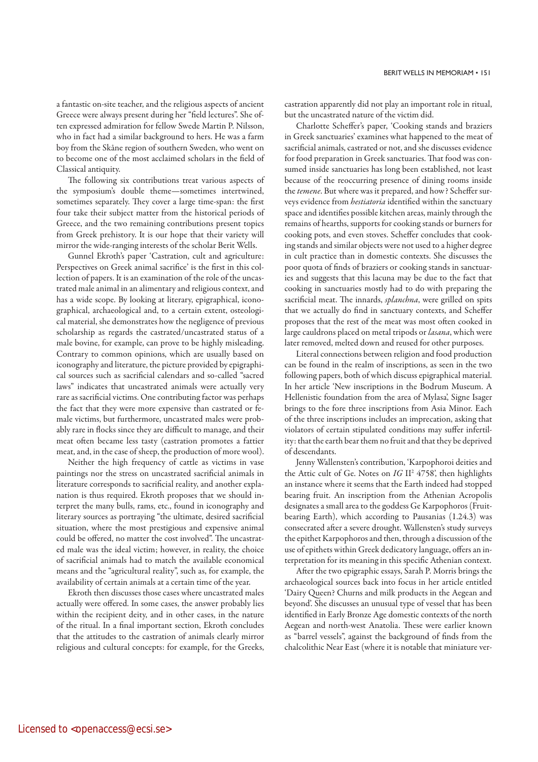a fantastic on-site teacher, and the religious aspects of ancient Greece were always present during her "field lectures". She often expressed admiration for fellow Swede Martin P. Nilsson, who in fact had a similar background to hers. He was a farm boy from the Skåne region of southern Sweden, who went on to become one of the most acclaimed scholars in the field of Classical antiquity.

The following six contributions treat various aspects of the symposium's double theme—sometimes intertwined, sometimes separately. They cover a large time-span: the first four take their subject matter from the historical periods of Greece, and the two remaining contributions present topics from Greek prehistory. It is our hope that their variety will mirror the wide-ranging interests of the scholar Berit Wells.

Gunnel Ekroth's paper 'Castration, cult and agriculture: Perspectives on Greek animal sacrifice' is the first in this collection of papers. It is an examination of the role of the uncastrated male animal in an alimentary and religious context, and has a wide scope. By looking at literary, epigraphical, iconographical, archaeological and, to a certain extent, osteological material, she demonstrates how the negligence of previous scholarship as regards the castrated/uncastrated status of a male bovine, for example, can prove to be highly misleading. Contrary to common opinions, which are usually based on iconography and literature, the picture provided by epigraphical sources such as sacrificial calendars and so-called "sacred laws" indicates that uncastrated animals were actually very rare as sacrificial victims. One contributing factor was perhaps the fact that they were more expensive than castrated or female victims, but furthermore, uncastrated males were probably rare in flocks since they are difficult to manage, and their meat often became less tasty (castration promotes a fattier meat, and, in the case of sheep, the production of more wool).

Neither the high frequency of cattle as victims in vase paintings nor the stress on uncastrated sacrificial animals in literature corresponds to sacrificial reality, and another explanation is thus required. Ekroth proposes that we should interpret the many bulls, rams, etc., found in iconography and literary sources as portraying "the ultimate, desired sacrificial situation, where the most prestigious and expensive animal could be offered, no matter the cost involved". The uncastrated male was the ideal victim; however, in reality, the choice of sacrificial animals had to match the available economical means and the "agricultural reality", such as, for example, the availability of certain animals at a certain time of the year.

Ekroth then discusses those cases where uncastrated males actually were offered. In some cases, the answer probably lies within the recipient deity, and in other cases, in the nature of the ritual. In a final important section, Ekroth concludes that the attitudes to the castration of animals clearly mirror religious and cultural concepts: for example, for the Greeks, castration apparently did not play an important role in ritual, but the uncastrated nature of the victim did.

Charlotte Scheffer's paper, 'Cooking stands and braziers in Greek sanctuaries' examines what happened to the meat of sacrificial animals, castrated or not, and she discusses evidence for food preparation in Greek sanctuaries. That food was consumed inside sanctuaries has long been established, not least because of the reoccurring presence of dining rooms inside the *temene*. But where was it prepared, and how? Scheffer surveys evidence from *hestiatoria* identified within the sanctuary space and identifies possible kitchen areas, mainly through the remains of hearths, supports for cooking stands or burners for cooking pots, and even stoves. Scheffer concludes that cooking stands and similar objects were not used to a higher degree in cult practice than in domestic contexts. She discusses the poor quota of finds of braziers or cooking stands in sanctuaries and suggests that this lacuna may be due to the fact that cooking in sanctuaries mostly had to do with preparing the sacrificial meat. The innards, *splanchna*, were grilled on spits that we actually do find in sanctuary contexts, and Scheffer proposes that the rest of the meat was most often cooked in large cauldrons placed on metal tripods or *lasana*, which were later removed, melted down and reused for other purposes.

Literal connections between religion and food production can be found in the realm of inscriptions, as seen in the two following papers, both of which discuss epigraphical material. In her article 'New inscriptions in the Bodrum Museum. A Hellenistic foundation from the area of Mylasa', Signe Isager brings to the fore three inscriptions from Asia Minor. Each of the three inscriptions includes an imprecation, asking that violators of certain stipulated conditions may suffer infertility: that the earth bear them no fruit and that they be deprived of descendants.

Jenny Wallensten's contribution, 'Karpophoroi deities and the Attic cult of Ge. Notes on *IG* II2 4758', then highlights an instance where it seems that the Earth indeed had stopped bearing fruit. An inscription from the Athenian Acropolis designates a small area to the goddess Ge Karpophoros (Fruitbearing Earth), which according to Pausanias (1.24.3) was consecrated after a severe drought. Wallensten's study surveys the epithet Karpophoros and then, through a discussion of the use of epithets within Greek dedicatory language, offers an interpretation for its meaning in this specific Athenian context.

After the two epigraphic essays, Sarah P. Morris brings the archaeological sources back into focus in her article entitled 'Dairy Queen? Churns and milk products in the Aegean and beyond'. She discusses an unusual type of vessel that has been identified in Early Bronze Age domestic contexts of the north Aegean and north-west Anatolia. These were earlier known as "barrel vessels", against the background of finds from the chalcolithic Near East (where it is notable that miniature ver